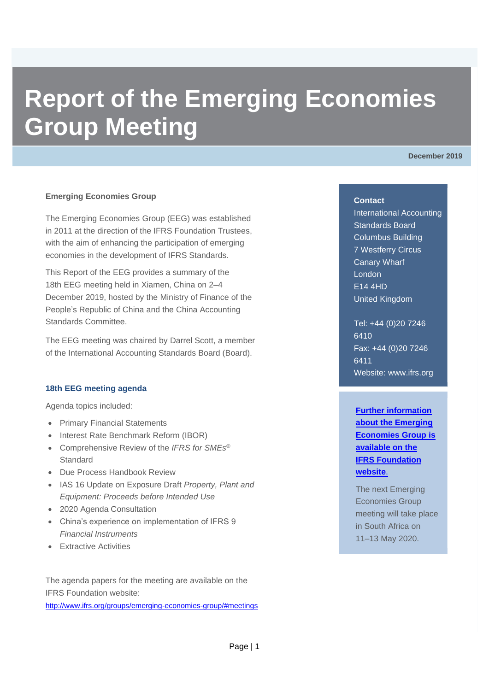# **Report of the Emerging Economies Group Meeting**

**December 2019**

# **Emerging Economies Group**

The Emerging Economies Group (EEG) was established in 2011 at the direction of the IFRS Foundation Trustees, with the aim of enhancing the participation of emerging economies in the development of IFRS Standards.

This Report of the EEG provides a summary of the 18th EEG meeting held in Xiamen, China on 2–4 December 2019, hosted by the Ministry of Finance of the People's Republic of China and the China Accounting Standards Committee.

The EEG meeting was chaired by Darrel Scott, a member of the International Accounting Standards Board (Board).

#### **18th EEG meeting agenda**

Agenda topics included:

- Primary Financial Statements
- Interest Rate Benchmark Reform (IBOR)
- Comprehensive Review of the *IFRS for SMEs®* **Standard**
- Due Process Handbook Review
- IAS 16 Update on Exposure Draft *Property, Plant and Equipment: Proceeds before Intended Use*
- 2020 Agenda Consultation
- China's experience on implementation of IFRS 9 *Financial Instruments*
- Extractive Activities

The agenda papers for the meeting are available on the IFRS Foundation website:

<http://www.ifrs.org/groups/emerging-economies-group/#meetings>

#### **Contact**

International Accounting Standards Board Columbus Building 7 Westferry Circus Canary Wharf London E14 4HD United Kingdom

Tel: +44 (0)20 7246 6410 Fax: +44 (0)20 7246 6411 Website: [www.ifrs.org](http://www.ifrs.org/)

**[Further information](https://www.ifrs.org/groups/emerging-economies-group/)  [about the Emerging](https://www.ifrs.org/groups/emerging-economies-group/)  [Economies Group](https://www.ifrs.org/groups/emerging-economies-group/) is [available on the](https://www.ifrs.org/groups/emerging-economies-group/)  [IFRS Foundation](https://www.ifrs.org/groups/emerging-economies-group/)  [website](https://www.ifrs.org/groups/emerging-economies-group/)**.

The next Emerging Economies Group meeting will take place in South Africa on 11–13 May 2020.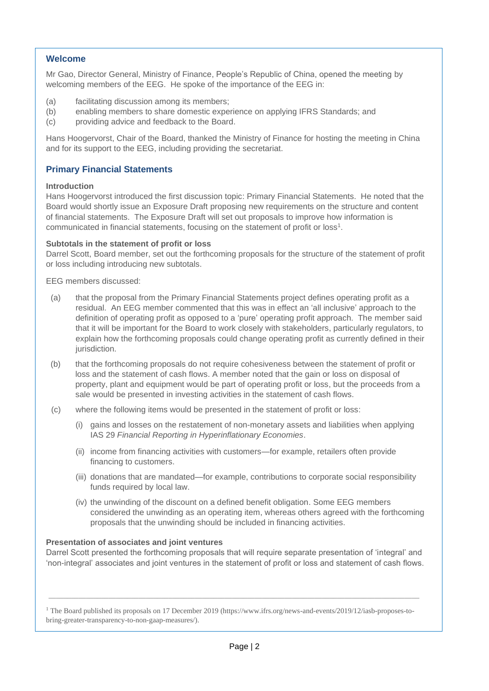# **Welcome**

Mr Gao, Director General, Ministry of Finance, People's Republic of China, opened the meeting by welcoming members of the EEG. He spoke of the importance of the EEG in:

- (a) facilitating discussion among its members;
- (b) enabling members to share domestic experience on applying IFRS Standards; and
- (c) providing advice and feedback to the Board.

Hans Hoogervorst, Chair of the Board, thanked the Ministry of Finance for hosting the meeting in China and for its support to the EEG, including providing the secretariat.

# **Primary Financial Statements**

#### **Introduction**

Hans Hoogervorst introduced the first discussion topic: Primary Financial Statements. He noted that the Board would shortly issue an Exposure Draft proposing new requirements on the structure and content of financial statements. The Exposure Draft will set out proposals to improve how information is communicated in financial statements, focusing on the statement of profit or loss<sup>1</sup>.

#### **Subtotals in the statement of profit or loss**

Darrel Scott, Board member, set out the forthcoming proposals for the structure of the statement of profit or loss including introducing new subtotals.

EEG members discussed:

- (a) that the proposal from the Primary Financial Statements project defines operating profit as a residual. An EEG member commented that this was in effect an 'all inclusive' approach to the definition of operating profit as opposed to a 'pure' operating profit approach. The member said that it will be important for the Board to work closely with stakeholders, particularly regulators, to explain how the forthcoming proposals could change operating profit as currently defined in their jurisdiction.
- (b) that the forthcoming proposals do not require cohesiveness between the statement of profit or loss and the statement of cash flows. A member noted that the gain or loss on disposal of property, plant and equipment would be part of operating profit or loss, but the proceeds from a sale would be presented in investing activities in the statement of cash flows.
- (c) where the following items would be presented in the statement of profit or loss:
	- (i) gains and losses on the restatement of non-monetary assets and liabilities when applying IAS 29 *Financial Reporting in Hyperinflationary Economies*.
	- (ii) income from financing activities with customers—for example, retailers often provide financing to customers.
	- (iii) donations that are mandated—for example, contributions to corporate social responsibility funds required by local law.
	- (iv) the unwinding of the discount on a defined benefit obligation. Some EEG members considered the unwinding as an operating item, whereas others agreed with the forthcoming proposals that the unwinding should be included in financing activities.

#### **Presentation of associates and joint ventures**

Darrel Scott presented the forthcoming proposals that will require separate presentation of 'integral' and 'non-integral' associates and joint ventures in the statement of profit or loss and statement of cash flows.

<sup>1</sup> The Board published its proposals on 17 December 2019 (https://www.ifrs.org/news-and-events/2019/12/iasb-proposes-tobring-greater-transparency-to-non-gaap-measures/).

\_\_\_\_\_\_\_\_\_\_\_\_\_\_\_\_\_\_\_\_\_\_\_\_\_\_\_\_\_\_\_\_\_\_\_\_\_\_\_\_\_\_\_\_\_\_\_\_\_\_\_\_\_\_\_\_\_\_\_\_\_\_\_\_\_\_\_\_\_\_\_\_\_\_\_\_\_\_\_\_\_\_\_\_\_\_\_\_\_\_\_\_\_\_\_\_\_\_\_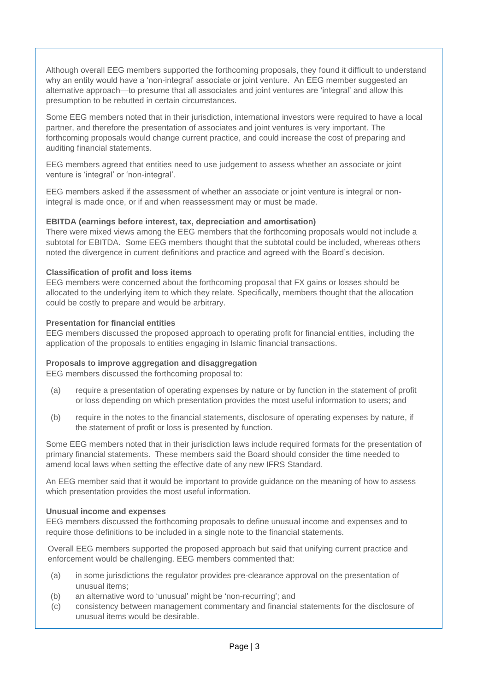Although overall EEG members supported the forthcoming proposals, they found it difficult to understand why an entity would have a 'non-integral' associate or joint venture. An EEG member suggested an alternative approach—to presume that all associates and joint ventures are 'integral' and allow this presumption to be rebutted in certain circumstances.

Some EEG members noted that in their jurisdiction, international investors were required to have a local partner, and therefore the presentation of associates and joint ventures is very important. The forthcoming proposals would change current practice, and could increase the cost of preparing and auditing financial statements.

EEG members agreed that entities need to use judgement to assess whether an associate or joint venture is 'integral' or 'non-integral'.

EEG members asked if the assessment of whether an associate or joint venture is integral or nonintegral is made once, or if and when reassessment may or must be made.

# **EBITDA (earnings before interest, tax, depreciation and amortisation)**

There were mixed views among the EEG members that the forthcoming proposals would not include a subtotal for EBITDA. Some EEG members thought that the subtotal could be included, whereas others noted the divergence in current definitions and practice and agreed with the Board's decision.

# **Classification of profit and loss items**

EEG members were concerned about the forthcoming proposal that FX gains or losses should be allocated to the underlying item to which they relate. Specifically, members thought that the allocation could be costly to prepare and would be arbitrary.

#### **Presentation for financial entities**

EEG members discussed the proposed approach to operating profit for financial entities, including the application of the proposals to entities engaging in Islamic financial transactions.

#### **Proposals to improve aggregation and disaggregation**

EEG members discussed the forthcoming proposal to:

- (a) require a presentation of operating expenses by nature or by function in the statement of profit or loss depending on which presentation provides the most useful information to users; and
- (b) require in the notes to the financial statements, disclosure of operating expenses by nature, if the statement of profit or loss is presented by function.

Some EEG members noted that in their jurisdiction laws include required formats for the presentation of primary financial statements. These members said the Board should consider the time needed to amend local laws when setting the effective date of any new IFRS Standard.

An EEG member said that it would be important to provide guidance on the meaning of how to assess which presentation provides the most useful information.

#### **Unusual income and expenses**

EEG members discussed the forthcoming proposals to define unusual income and expenses and to require those definitions to be included in a single note to the financial statements.

Overall EEG members supported the proposed approach but said that unifying current practice and enforcement would be challenging. EEG members commented that:

- (a) in some jurisdictions the regulator provides pre-clearance approval on the presentation of unusual items;
- (b) an alternative word to 'unusual' might be 'non-recurring'; and
- (c) consistency between management commentary and financial statements for the disclosure of unusual items would be desirable.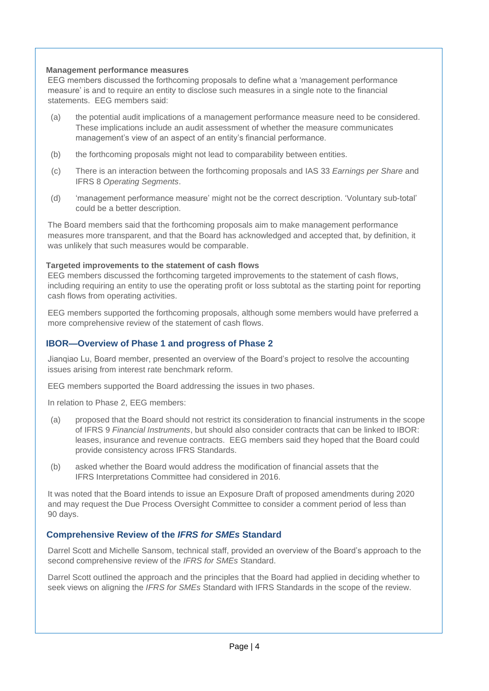## **Management performance measures**

EEG members discussed the forthcoming proposals to define what a 'management performance measure' is and to require an entity to disclose such measures in a single note to the financial statements. EEG members said:

- (a) the potential audit implications of a management performance measure need to be considered. These implications include an audit assessment of whether the measure communicates management's view of an aspect of an entity's financial performance.
- (b) the forthcoming proposals might not lead to comparability between entities.
- (c) There is an interaction between the forthcoming proposals and IAS 33 *Earnings per Share* and IFRS 8 *Operating Segments*.
- (d) 'management performance measure' might not be the correct description. 'Voluntary sub-total' could be a better description.

The Board members said that the forthcoming proposals aim to make management performance measures more transparent, and that the Board has acknowledged and accepted that, by definition, it was unlikely that such measures would be comparable.

# **Targeted improvements to the statement of cash flows**

EEG members discussed the forthcoming targeted improvements to the statement of cash flows, including requiring an entity to use the operating profit or loss subtotal as the starting point for reporting cash flows from operating activities.

EEG members supported the forthcoming proposals, although some members would have preferred a more comprehensive review of the statement of cash flows.

# **IBOR—Overview of Phase 1 and progress of Phase 2**

Jianqiao Lu, Board member, presented an overview of the Board's project to resolve the accounting issues arising from interest rate benchmark reform.

EEG members supported the Board addressing the issues in two phases.

In relation to Phase 2, EEG members:

- (a) proposed that the Board should not restrict its consideration to financial instruments in the scope of IFRS 9 *Financial Instruments*, but should also consider contracts that can be linked to IBOR: leases, insurance and revenue contracts. EEG members said they hoped that the Board could provide consistency across IFRS Standards.
- (b) asked whether the Board would address the modification of financial assets that the IFRS Interpretations Committee had considered in 2016.

It was noted that the Board intends to issue an Exposure Draft of proposed amendments during 2020 and may request the Due Process Oversight Committee to consider a comment period of less than 90 days.

# **Comprehensive Review of the** *IFRS for SMEs* **Standard**

Darrel Scott and Michelle Sansom, technical staff, provided an overview of the Board's approach to the second comprehensive review of the *IFRS for SMEs* Standard.

Darrel Scott outlined the approach and the principles that the Board had applied in deciding whether to seek views on aligning the *IFRS for SMEs* Standard with IFRS Standards in the scope of the review.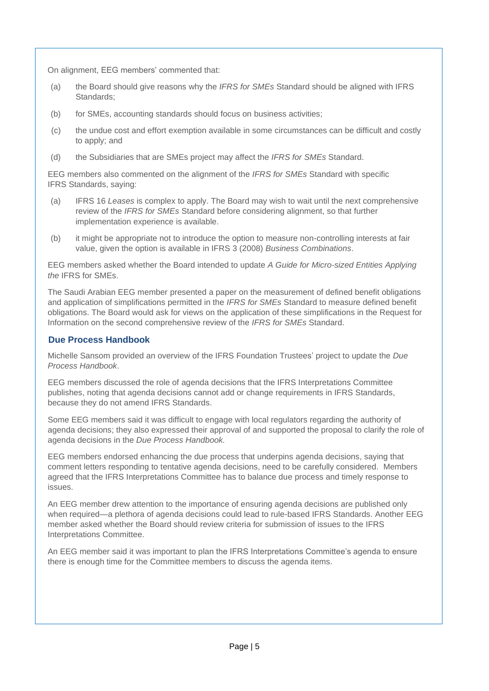On alignment, EEG members' commented that:

- (a) the Board should give reasons why the *IFRS for SMEs* Standard should be aligned with IFRS Standards;
- (b) for SMEs, accounting standards should focus on business activities;
- (c) the undue cost and effort exemption available in some circumstances can be difficult and costly to apply; and
- (d) the Subsidiaries that are SMEs project may affect the *IFRS for SMEs* Standard.

EEG members also commented on the alignment of the *IFRS for SMEs* Standard with specific IFRS Standards, saying:

- (a) IFRS 16 *Leases* is complex to apply. The Board may wish to wait until the next comprehensive review of the *IFRS for SMEs* Standard before considering alignment, so that further implementation experience is available.
- (b) it might be appropriate not to introduce the option to measure non-controlling interests at fair value, given the option is available in IFRS 3 (2008) *Business Combinations*.

EEG members asked whether the Board intended to update *A Guide for Micro-sized Entities Applying the* IFRS for SMEs.

The Saudi Arabian EEG member presented a paper on the measurement of defined benefit obligations and application of simplifications permitted in the *IFRS for SMEs* Standard to measure defined benefit obligations. The Board would ask for views on the application of these simplifications in the Request for Information on the second comprehensive review of the *IFRS for SMEs* Standard.

# **Due Process Handbook**

Michelle Sansom provided an overview of the IFRS Foundation Trustees' project to update the *Due Process Handbook*.

EEG members discussed the role of agenda decisions that the IFRS Interpretations Committee publishes, noting that agenda decisions cannot add or change requirements in IFRS Standards, because they do not amend IFRS Standards.

Some EEG members said it was difficult to engage with local regulators regarding the authority of agenda decisions; they also expressed their approval of and supported the proposal to clarify the role of agenda decisions in the *Due Process Handbook.*

EEG members endorsed enhancing the due process that underpins agenda decisions, saying that comment letters responding to tentative agenda decisions, need to be carefully considered. Members agreed that the IFRS Interpretations Committee has to balance due process and timely response to issues.

An EEG member drew attention to the importance of ensuring agenda decisions are published only when required—a plethora of agenda decisions could lead to rule-based IFRS Standards. Another EEG member asked whether the Board should review criteria for submission of issues to the IFRS Interpretations Committee.

An EEG member said it was important to plan the IFRS Interpretations Committee's agenda to ensure there is enough time for the Committee members to discuss the agenda items.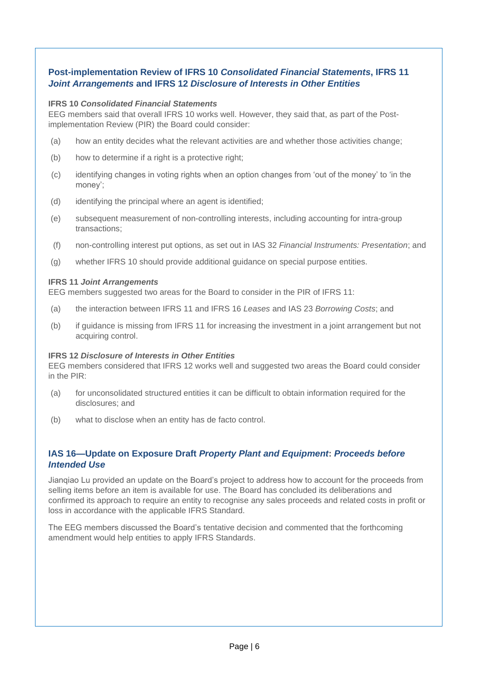# **Post-implementation Review of IFRS 10** *Consolidated Financial Statements***, IFRS 11**  *Joint Arrangements* **and IFRS 12** *Disclosure of Interests in Other Entities*

## **IFRS 10** *Consolidated Financial Statements*

EEG members said that overall IFRS 10 works well. However, they said that, as part of the Postimplementation Review (PIR) the Board could consider:

- (a) how an entity decides what the relevant activities are and whether those activities change;
- (b) how to determine if a right is a protective right;
- (c) identifying changes in voting rights when an option changes from 'out of the money' to 'in the money';
- (d) identifying the principal where an agent is identified;
- (e) subsequent measurement of non-controlling interests, including accounting for intra-group transactions;
- (f) non-controlling interest put options, as set out in IAS 32 *Financial Instruments: Presentation*; and
- (g) whether IFRS 10 should provide additional guidance on special purpose entities.

# **IFRS 11** *Joint Arrangements*

EEG members suggested two areas for the Board to consider in the PIR of IFRS 11:

- (a) the interaction between IFRS 11 and IFRS 16 *Leases* and IAS 23 *Borrowing Costs*; and
- (b) if guidance is missing from IFRS 11 for increasing the investment in a joint arrangement but not acquiring control.

# **IFRS 12** *Disclosure of Interests in Other Entities*

EEG members considered that IFRS 12 works well and suggested two areas the Board could consider in the PIR:

- (a) for unconsolidated structured entities it can be difficult to obtain information required for the disclosures; and
- (b) what to disclose when an entity has de facto control.

# **IAS 16—Update on Exposure Draft** *Property Plant and Equipment***:** *Proceeds before Intended Use*

Jianqiao Lu provided an update on the Board's project to address how to account for the proceeds from selling items before an item is available for use. The Board has concluded its deliberations and confirmed its approach to require an entity to recognise any sales proceeds and related costs in profit or loss in accordance with the applicable IFRS Standard.

The EEG members discussed the Board's tentative decision and commented that the forthcoming amendment would help entities to apply IFRS Standards.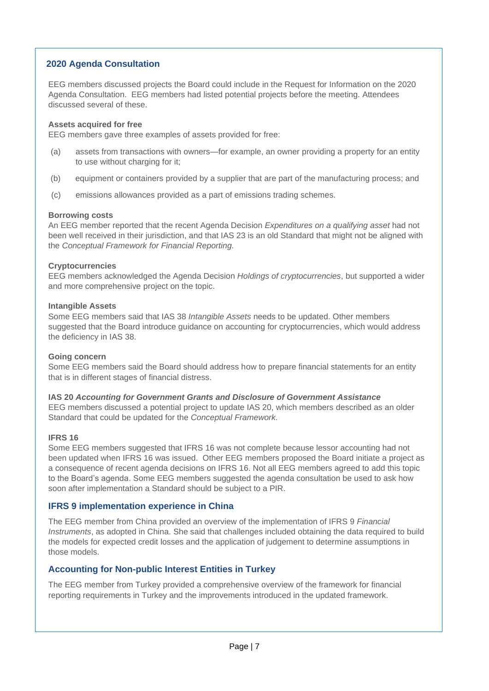# **2020 Agenda Consultation**

EEG members discussed projects the Board could include in the Request for Information on the 2020 Agenda Consultation. EEG members had listed potential projects before the meeting. Attendees discussed several of these.

#### **Assets acquired for free**

EEG members gave three examples of assets provided for free:

- (a) assets from transactions with owners—for example, an owner providing a property for an entity to use without charging for it;
- (b) equipment or containers provided by a supplier that are part of the manufacturing process; and
- (c) emissions allowances provided as a part of emissions trading schemes.

#### **Borrowing costs**

An EEG member reported that the recent Agenda Decision *Expenditures on a qualifying asset* had not been well received in their jurisdiction, and that IAS 23 is an old Standard that might not be aligned with the *Conceptual Framework for Financial Reporting.*

#### **Cryptocurrencies**

EEG members acknowledged the Agenda Decision *Holdings of cryptocurrencies*, but supported a wider and more comprehensive project on the topic.

#### **Intangible Assets**

Some EEG members said that IAS 38 *Intangible Assets* needs to be updated. Other members suggested that the Board introduce guidance on accounting for cryptocurrencies, which would address the deficiency in IAS 38.

#### **Going concern**

Some EEG members said the Board should address how to prepare financial statements for an entity that is in different stages of financial distress.

#### **IAS 20** *Accounting for Government Grants and Disclosure of Government Assistance*

EEG members discussed a potential project to update IAS 20, which members described as an older Standard that could be updated for the *Conceptual Framework.*

#### **IFRS 16**

Some EEG members suggested that IFRS 16 was not complete because lessor accounting had not been updated when IFRS 16 was issued. Other EEG members proposed the Board initiate a project as a consequence of recent agenda decisions on IFRS 16. Not all EEG members agreed to add this topic to the Board's agenda. Some EEG members suggested the agenda consultation be used to ask how soon after implementation a Standard should be subject to a PIR.

#### **IFRS 9 implementation experience in China**

The EEG member from China provided an overview of the implementation of IFRS 9 *Financial Instruments*, as adopted in China. She said that challenges included obtaining the data required to build the models for expected credit losses and the application of judgement to determine assumptions in those models.

# **Accounting for Non-public Interest Entities in Turkey**

The EEG member from Turkey provided a comprehensive overview of the framework for financial reporting requirements in Turkey and the improvements introduced in the updated framework.